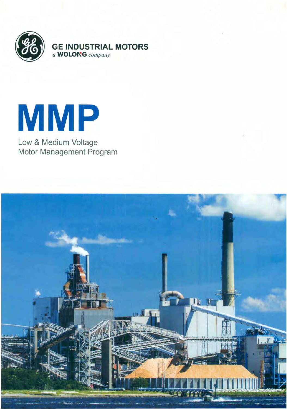



Low & Medium Voltage Motor Management Program

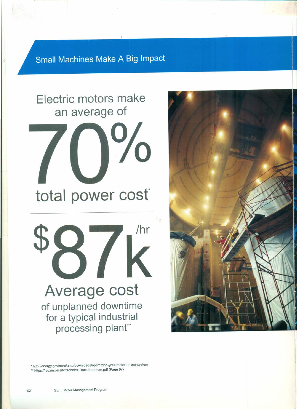**Small Machines Make A Big Impact** 

![](_page_1_Picture_1.jpeg)

![](_page_1_Picture_2.jpeg)

• hltp:llenergy.gov/eerelamo/downloads/optimizing-your-motor-driven-system \*\* https://iac.university/technicalDocs/prodman.pdf (Page 67)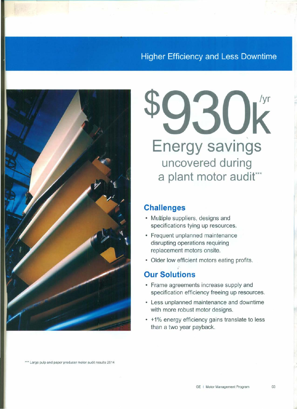## **Higher Efficiency and Less Downtime**

![](_page_2_Figure_1.jpeg)

**/yr Energy savings uncovered during a plant motor** audit"

### **Challenges**

- Multiple suppliers, designs and specifications tying up resources.
- Frequent unplanned maintenance disrupting operations requiring replacement motors onsite.
- Older low efficient motors eating profits.

### **Our Solutions**

- Frame agreements increase supply and specification efficiency freeing up resources.
- Less unplanned maintenance and downtime with more robust motor designs.
- +1% energy efficiency gains translate to less than a two year payback.

\*\*\* Large pulp and paper producer motor audit results 2014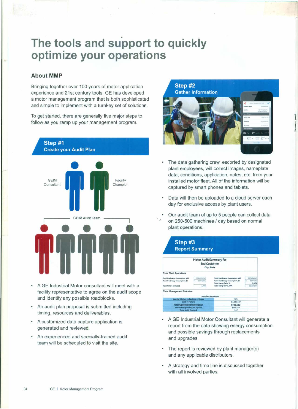## . **The tools and support to quickly optimize your operations**

#### **About MMP**

Bringing together over 100 years of motor application experience and 21st century tools, GE has developed a motor management program that is both sophisticated and simple to implement with a turnkey set of solutions.

To get started, there are generally five major steps to follow as you ramp up your management program.

![](_page_3_Figure_4.jpeg)

- A GE Industrial Motor consultant will meet with a facility representative to agree on the audit scope and identify any possible roadblocks.
- An audit plan proposal is submitted including timing, resources and deliverables.
- A customized data capture application is generated and reviewed.
- An experienced and specially-trained audit team will be scheduled to visit the site.

Step #2 **Gather Information** 

![](_page_3_Picture_10.jpeg)

1 i

1 I

- The data gathering crew, escorted by designated plant employees, will collect images, nameplate data, conditions, application, notes, etc. from your installed motor fleet. All of the information will be captured by smart phones and tablets.
- Data will then be uploaded to a cloud server each day for exclusive access by plant users.
- Our audit team of up to 5 people can collect data on 250-500 machines / day based on normal plant operations.

![](_page_3_Figure_14.jpeg)

- A GE Industrial Motor Consultant will generate a report from the data showing energy consumption and possible savings through replacements and upgrades.
- The report is reviewed by plant manager(s) and any applicable distributors.
- A strategy and time line is discussed together with all involved parties.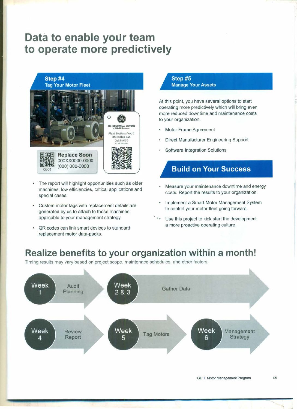## **Data to enable your team to operate more predictively**

Step #4 Tag Your Motor Fleet

![](_page_4_Picture_2.jpeg)

- The report will highlight opportunities such as older machines, low efficiencies, critical applications and special cases.
- Custom motor tags with replacement details are generated by us to attach to those machines applicable to your management strategy.
- OR codes can link smart devices to standard replacement motor data-packs.

#### Step #5 Manage Your Assets

At this point, you have several options to start operating more predictively which will bring even more reduced downtime and maintenance costs to your organization.

- Motor Frame Agreement
- Direct Manufacturer Engineering Support
- Software Integration Solutions

## **Build on Your Success**

- Measure your maintenance downtime and energy costs. Report the results to your organization.
- Implement a Smart Motor Management System to control your motor fleet going forward.
- \*\* Use this project to kick start the development a more proactive operating culture.

## **Realize benefits to your organization within a month!**

Timing results may vary based on project scope, maintenace schedules, and other factors.

![](_page_4_Figure_17.jpeg)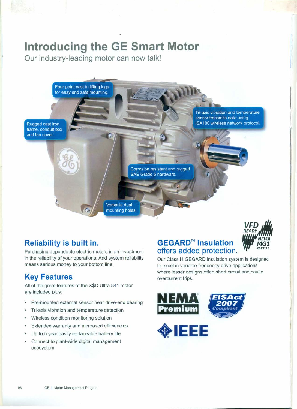# **Introducing the GE Smart Motor**

**Our industry-leading motor can now talk!**

![](_page_5_Picture_2.jpeg)

## **Reliability is built in.**

Purchasing dependable electric motors is an investment in the reliability of your operations. And system reliability means serious money to your bottom line.

## **Key Features**

All of the great features of the X\$D Ultra 841 motor are included plus:

- Pre-mounted external sensor near drive-end bearing
- è Tri-axis vibration and temperature detection
- Wireless condition monitoring solution
- Extended warranty and increased efficiencies
- Up to 5 year easily replaceable battery life
- Connect to plant-wide digital management ecosystem

## **GEGARD™ Insulation offers added protection.**

![](_page_5_Picture_14.jpeg)

Our Class H GEGARD insulation system is designed to excel in variable frequency drive applications where lesser designs often short circuit and cause overcurrent trips.

![](_page_5_Picture_16.jpeg)